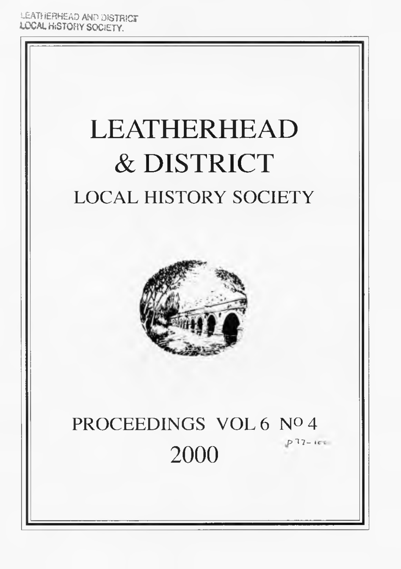UEATHERHEAD AND DISTRICT LOCAL HiSTOHY SOCIETY.

# LEATHERHEAD & DISTRICT LOCAL HISTORY SOCIETY



### PROCEEDINGS VOL 6 Nº 4  $p$   $12 - 100$ 2000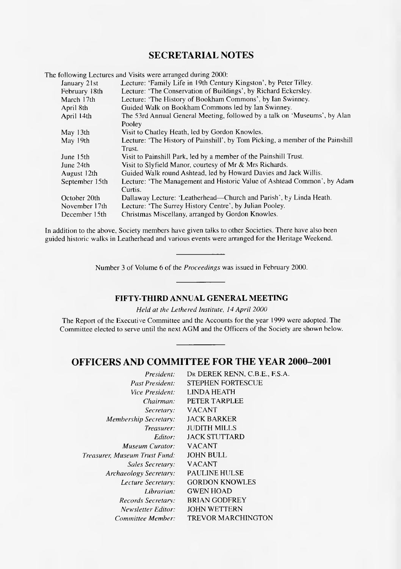### **SECRETARIAL NOTES**

The following Lectures and Visits were arranged during 2000:

| January 21st   | Lecture: 'Family Life in 19th Century Kingston', by Peter Tilley.              |
|----------------|--------------------------------------------------------------------------------|
| February 18th  | Lecture: 'The Conservation of Buildings', by Richard Eckersley.                |
| March 17th     | Lecture: 'The History of Bookham Commons', by Ian Swinney.                     |
| April 8th      | Guided Walk on Bookham Commons led by Ian Swinney.                             |
| April 14th     | The 53rd Annual General Meeting, followed by a talk on 'Museums', by Alan      |
|                | Pooley                                                                         |
| May 13th       | Visit to Chatley Heath, led by Gordon Knowles.                                 |
| May 19th       | Lecture: 'The History of Painshill', by Tom Picking, a member of the Painshill |
|                | Trust.                                                                         |
| June 15th      | Visit to Painshill Park, led by a member of the Painshill Trust.               |
| June 24th      | Visit to Slyfield Manor, courtesy of Mr & Mrs Richards.                        |
| August 12th    | Guided Walk round Ashtead, led by Howard Davies and Jack Willis.               |
| September 15th | Lecture: 'The Management and Historic Value of Ashtead Common', by Adam        |
|                | Curtis.                                                                        |
| October 20th   | Dallaway Lecture: 'Leatherhead—Church and Parish', by Linda Heath.             |
| November 17th  | Lecture: 'The Surrey History Centre', by Julian Pooley.                        |
| December 15th  | Christmas Miscellany, arranged by Gordon Knowles.                              |

In addition to the above, Society members have given talks to other Societies. There have also been guided historic walks in Leatherhead and various events were arranged for the Heritage Weekend.

Number 3 of Volume 6 of the *Proceedings* was issued in February 2000.

### **FIFTY-THIRD ANNUAL GENERAL MEETING**

*Held at the Lethered Institute, 14 April 2000*

The Report of the Executive Committee and the Accounts for the year 1999 were adopted. The Committee elected to serve until the next AGM and the Officers of the Society are shown below.

### **OFFICERS AND COMMITTEE FOR THE YEAR 2000-2001**

| President:                    | DR DEREK RENN, C.B.E., F.S.A. |
|-------------------------------|-------------------------------|
| Past President:               | <b>STEPHEN FORTESCUE</b>      |
| Vice President:               | LINDA HEATH                   |
| Chairman:                     | PETER TARPLEE                 |
| Secretary:                    | <b>VACANT</b>                 |
| <b>Membership Secretary:</b>  | <b>JACK BARKER</b>            |
| Treasurer:                    | <b>JUDITH MILLS</b>           |
| Editor:                       | <b>JACK STUTTARD</b>          |
| Museum Curator:               | <b>VACANT</b>                 |
| Treasurer, Museum Trust Fund: | <b>JOHN BULL</b>              |
| Sales Secretary:              | <b>VACANT</b>                 |
| Archaeology Secretary:        | PAULINE HULSE                 |
| Lecture Secretary:            | <b>GORDON KNOWLES</b>         |
| Librarian:                    | <b>GWEN HOAD</b>              |
| Records Secretary.            | <b>BRIAN GODFREY</b>          |
| Newsletter Editor:            | <b>JOHN WETTERN</b>           |
| Committee Member:             | TREVOR MARCHINGTON            |
|                               |                               |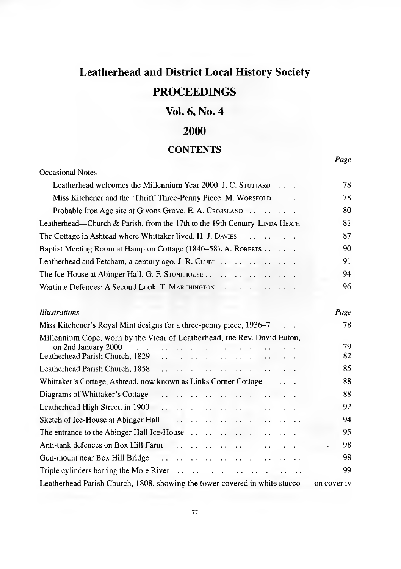# **Leatherhead and District Local History Society PROCEEDINGS**

### **Vol. 6, No. 4**

### **2000**

### **CONTENTS**

### Occasional Notes Leatherhead welcomes the Millennium Year 2000. J. C. STUTTARD  $\ldots$  ... 78 Miss Kitchener and the 'Thrift' Three-Penny Piece. M. WORSFOLD .... 78 [Probable Iron Age site at Givons Grove. E. A.](#page-5-0) C r o s s l a n d .......................... 80 [Leatherhead—Church & Parish, from the 17th to the 19th Century.](#page-6-0) LINDA HEATH 81 [The Cottage in Ashtead where Whittaker lived. H. J.](#page-12-0) D av ies .......................... 87 [Baptist Meeting Room at Hampton Cottage \(1846-58\). A.](#page-15-0) R o b e r t s .................. 90 [Leatherhead and Fetcham, a century ago. J. R.](#page-16-0) C l u b e ......................................... 91 The Ice-House at Abinger Hall. G. F. S t o n e h o u s e ................................................. 94 Wartime Defences: A Second Look. T. MARCHINGTON . . . . . . . . . . . . . . . . . 96

| Illustrations                                                              | Page        |
|----------------------------------------------------------------------------|-------------|
| Miss Kitchener's Royal Mint designs for a three-penny piece, 1936–7        | 78          |
| Millennium Cope, worn by the Vicar of Leatherhead, the Rev. David Eaton,   | 79<br>82    |
|                                                                            | 85          |
| Whittaker's Cottage, Ashtead, now known as Links Corner Cottage            | 88          |
| Diagrams of Whittaker's Cottage                                            | 88          |
|                                                                            | 92          |
|                                                                            | 94          |
|                                                                            | 95          |
|                                                                            | 98          |
|                                                                            | 98          |
|                                                                            | 99          |
| Leatherhead Parish Church, 1808, showing the tower covered in white stucco | on cover iv |

*Page*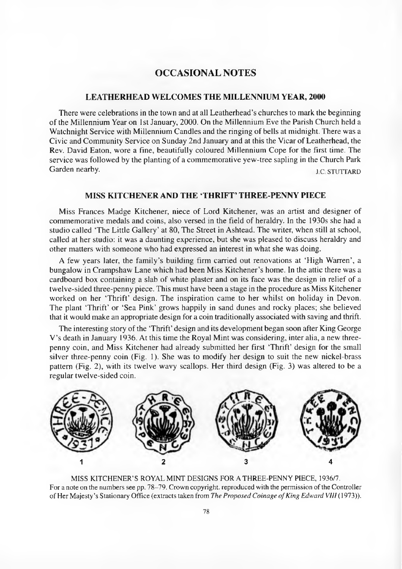### **OCCASIONAL NOTES**

### **LEATHERHEAD WELCOMES THE MILLENNIUM YEAR, 2000**

There were celebrations in the town and at all Leatherhead's churches to mark the beginning of the Millennium Year on 1st January, 2000. On the Millennium Eve the Parish Church held a Watchnight Service with Millennium Candles and the ringing of bells at midnight. There was a Civic and Community Service on Sunday 2nd January and at this the Vicar of Leatherhead, the Rev. David Eaton, wore a fine, beautifully coloured Millennium Cope for the first time. The service was followed by the planting of a commemorative yew-tree sapling in the Church Park Garden nearby. J.C. STUTTARD

### **MISS KITCHENER AND THE 'THRIFT' THREE-PENNY PIECE**

Miss Frances Madge Kitchener, niece of Lord Kitchener, was an artist and designer of commemorative medals and coins, also versed in the field of heraldry. In the 1930s she had a studio called 'The Little Gallery' at 80, The Street in Ashtead. The writer, when still at school, called at her studio: it was a daunting experience, but she was pleased to discuss heraldry and other matters with someone who had expressed an interest in what she was doing.

A few years later, the family's building firm carried out renovations at 'High Warren', a bungalow in Crampshaw Lane which had been Miss Kitchener's home. In the attic there was a cardboard box containing a slab of white plaster and on its face was the design in relief of a twelve-sided three-penny piece. This must have been a stage in the procedure as Miss Kitchener worked on her 'Thrift' design. The inspiration came to her whilst on holiday in Devon. The plant 'Thrift' or 'Sea Pink' grows happily in sand dunes and rocky places; she believed that it would make an appropriate design for a coin traditionally associated with saving and thrift.

The interesting story of the 'Thrift' design and its development began soon after King George V 's death in January 1936. At this time the Royal Mint was considering, inter alia, a new threepenny coin, and Miss Kitchener had already submitted her first 'Thrift' design for the small silver three-penny coin (Fig. 1). She was to modify her design to suit the new nickel-brass pattern (Fig. 2), with its twelve wavy scallops. Her third design (Fig. 3) was altered to be a regular twelve-sided coin.



MISS KITCHENER'S ROYAL MINT DESIGNS FOR A THREE-PENNY PIECE, 1936/7. For a note on the numbers see pp. 78-79. Crown copyright, reproduced with the permission of the Controller of Her Majesty's Stationary Office (extracts taken from *The Proposed Coinage of King Edward VIII* (1973)).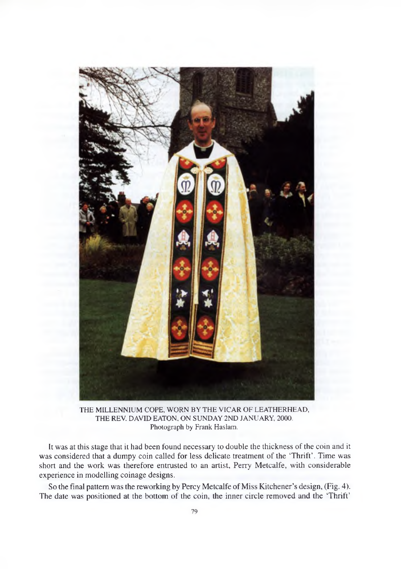

THE MILLENNIUM COPE, WORN BY THE VICAR OF LEATHERHEAD, THE REV. DAVID EATON, ON SUNDAY 2ND JANUARY, 2000. Photograph by Frank Haslam.

It was at this stage that it had been found necessary to double the thickness of the coin and it was considered that a dumpy coin called for less delicate treatment of the 'Thrift'. Time was short and the work was therefore entrusted to an artist, Perry Metcalfe, with considerable experience in modelling coinage designs.

So the final pattern was the reworking by Percy Metcalfe of Miss Kitchener's design, (Fig. 4). The date was positioned at the bottom of the coin, the inner circle removed and the 'Thrift'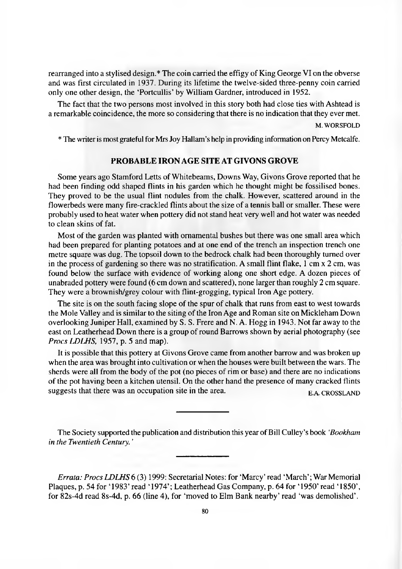rearranged into a stylised design.\* The coin carried the effigy of King George VI on the obverse and was first circulated in 1937. During its lifetime the twelve-sided three-penny coin carried only one other design, the 'Portcullis' by William Gardner, introduced in 1952.

The fact that the two persons most involved in this story both had close ties with Ashtead is a remarkable coincidence, the more so considering that there is no indication that they ever met.

M. WORSFOLD

<span id="page-5-0"></span>\* The writer is most grateful for Mrs Joy Hallam's help in providing information on Percy Metcalfe.

### **PROBABLE IRON AGE SITE AT GIVONS GROVE**

Some years ago Stamford Letts of Whitebeams, Downs Way, Givons Grove reported that he had been finding odd shaped flints in his garden which he thought might be fossilised bones. They proved to be the usual flint nodules from the chalk. However, scattered around in the flowerbeds were many fire-crackled flints about the size of a tennis ball or smaller. These were probably used to heat water when pottery did not stand heat very well and hot water was needed to clean skins of fat.

Most of the garden was planted with ornamental bushes but there was one small area which had been prepared for planting potatoes and at one end of the trench an inspection trench one metre square was dug. The topsoil down to the bedrock chalk had been thoroughly turned over in the process of gardening so there was no stratification. A small flint flake, 1 cm x 2 cm, was found below the surface with evidence of working along one short edge. A dozen pieces of unabraded pottery were found (6 cm down and scattered), none larger than roughly 2 cm square. They were a brownish/grey colour with flint-grogging, typical Iron Age pottery.

The site is on the south facing slope of the spur of chalk that runs from east to west towards the Mole Valley and is similar to the siting of the Iron Age and Roman site on Mickleham Down overlooking Juniper Hall, examined by S. S. Frere and N. A. Hogg in 1943. Not far away to the east on Leatherhead Down there is a group of round Barrows shown by aerial photography (see *Procs LDLHS,* 1957, p. 5 and map).

It is possible that this pottery at Givons Grove came from another barrow and was broken up when the area was brought into cultivation or when the houses were built between the wars. The sherds were all from the body of the pot (no pieces of rim or base) and there are no indications of the pot having been a kitchen utensil. On the other hand the presence of many cracked flints suggests that there was an occupation site in the area. EA CROSSLAND

The Society supported the publication and distribution this year of Bill Culley's book *'Bookham in the Twentieth Century. '*

*Errata: Procs LDLHS* 6 (3) 1999: Secretarial Notes: for 'Marcy' read 'March'; War Memorial Plaques, p. 54 for '1983' read '1974'; Leatherhead Gas Company, p. 64 for '1950' read '1850', for 82s-4d read 8s-4d, p. 66 (line 4), for 'moved to Elm Bank nearby' read 'was demolished'.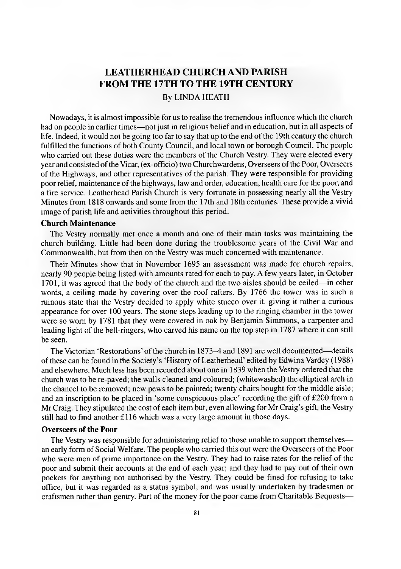### **LEATHERHEAD CHURCH AND PARISH FROM THE 17TH TO THE 19TH CENTURY** By LINDA HEATH

<span id="page-6-0"></span>Nowadays, it is almost impossible for us to realise the tremendous influence which the church had on people in earlier times—not just in religious belief and in education, but in all aspects of life. Indeed, it would not be going too far to say that up to the end of the 19th century the church fulfilled the functions of both County Council, and local town or borough Council. The people who carried out these duties were the members of the Church Vestry. They were elected every year and consisted of the Vicar, (ex-officio) two Churchwardens, Overseers of the Poor, Overseers of the Highways, and other representatives of the parish. They were responsible for providing poor relief, maintenance of the highways, law and order, education, health care for the poor, and a fire service. Leatherhead Parish Church is very fortunate in possessing nearly all the Vestry Minutes from 1818 onwards and some from the 17th and 18th centuries. These provide a vivid image of parish life and activities throughout this period.

### **Church Maintenance**

The Vestry normally met once a month and one of their main tasks was maintaining the church building. Little had been done during the troublesome years of the Civil War and Commonwealth, but from then on the Vestry was much concerned with maintenance.

Their Minutes show that in November 1695 an assessment was made for church repairs, nearly 90 people being listed with amounts rated for each to pay. A few years later, in October 1701, it was agreed that the body of the church and the two aisles should be ceiled—in other words, a ceiling made by covering over the roof rafters. By 1766 the tower was in such a ruinous state that the Vestry decided to apply white stucco over it, giving it rather a curious appearance for over 100 years. The stone steps leading up to the ringing chamber in the tower were so worn by 1781 that they were covered in oak by Benjamin Simmons, a carpenter and leading light of the bell-ringers, who carved his name on the top step in 1787 where it can still be seen.

The Victorian 'Restorations' of the church in 1873-4 and 1891 are well documented—details of these can be found in the Society's 'History of Leatherhead' edited by Edwina Vardey (1988) and elsewhere. Much less has been recorded about one in 1839 when the Vestry ordered that the church was to be re-paved; the walls cleaned and coloured; (whitewashed) the elliptical arch in the chancel to be removed; new pews to be painted; twenty chairs bought for the middle aisle; and an inscription to be placed in 'some conspicuous place' recording the gift of £200 from a Mr Craig. They stipulated the cost of each item but, even allowing for Mr Craig's gift, the Vestry still had to find another £116 which was a very large amount in those days.

### **Overseers of the Poor**

The Vestry was responsible for administering relief to those unable to support themselves an early form of Social Welfare. The people who carried this out were the Overseers of the Poor who were men of prime importance on the Vestry. They had to raise rates for the relief of the poor and submit their accounts at the end of each year; and they had to pay out of their own pockets for anything not authorised by the Vestry. They could be fined for refusing to take office, but it was regarded as a status symbol, and was usually undertaken by tradesmen or craftsmen rather than gentry. Part of the money for the poor came from Charitable Bequests—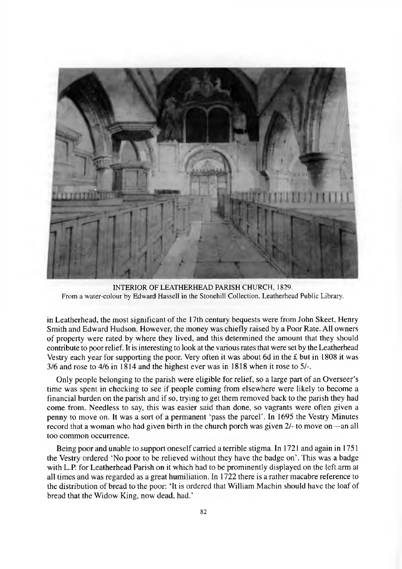

INTERIOR OF LEATHERHEAD PARISH CHURCH, 1829. From a water-colour by Edward Hassell in the Stonehill Collection, Leatherhead Public Library.

in Leatherhead, the most significant of the 17th century bequests were from John Skeet, Henry Smith and Edward Hudson. However, the money was chiefly raised by a Poor Rate. All owners of property were rated by where they lived, and this determined the amount that they should contribute to poor relief. It is interesting to look at the various rates that were set by the Leatherhead Vestry each year for supporting the poor. Very often it was about 6d in the £ but in 1808 it was 3/6 and rose to 4/6 in 1814 and the highest ever was in 1818 when it rose to 5/-.

Only people belonging to the parish were eligible for relief, so a large part of an Overseer's time was spent in checking to see if people coming from elsewhere were likely to become a financial burden on the parish and if so, trying to get them removed back to the parish they had come from. Needless to say, this was easier said than done, so vagrants were often given a penny to move on. It was a sort of a permanent 'pass the parcel'. In 1695 the Vestry Minutes record that a woman who had given birth in the church porch was given 2/- to move on— an all too common occurrence.

Being poor and unable to support oneself carried a terrible stigma. In 1721 and again in 1751 the Vestry ordered 'No poor to be relieved without they have the badge on'. This was a badge with L.P for Leatherhead Parish on it which had to be prominently displayed on the left arm at all times and was regarded as a great humiliation. In 1722 there is a rather macabre reference to the distribution of bread to the poor: 'It is ordered that William Machin should have the loaf of bread that the Widow King, now dead, had.'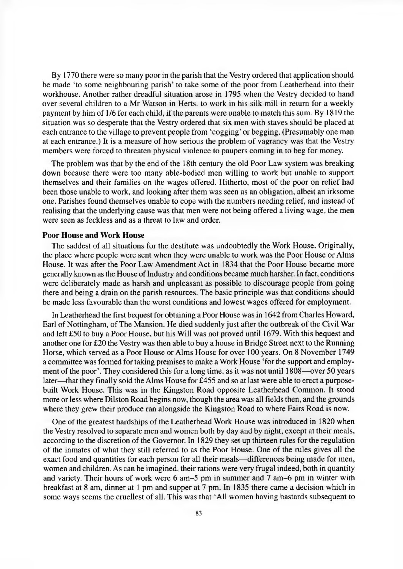By 1770 there were so many poor in the parish that the Vestry ordered that application should be made 'to some neighbouring parish' to take some of the poor from Leatherhead into their workhouse. Another rather dreadful situation arose in 1795 when the Vestry decided to hand over several children to a Mr Watson in Herts, to work in his silk mill in return for a weekly payment by him of 1/6 for each child, if the parents were unable to match this sum. By 1819 the situation was so desperate that the Vestry ordered that six men with staves should be placed at each entrance to the village to prevent people from 'cogging' or begging. (Presumably one man at each entrance.) It is a measure of how serious the problem of vagrancy was that the Vestry members were forced to threaten physical violence to paupers coming in to beg for money.

The problem was that by the end of the 18th century the old Poor Law system was breaking down because there were too many able-bodied men willing to work but unable to support themselves and their families on the wages offered. Hitherto, most of the poor on relief had been those unable to work, and looking after them was seen as an obligation, albeit an irksome one. Parishes found themselves unable to cope with the numbers needing relief, and instead of realising that the underlying cause was that men were not being offered a living wage, the men were seen as feckless and as a threat to law and order.

### **Poor House and Work House**

The saddest of all situations for the destitute was undoubtedly the Work House. Originally, the place where people were sent when they were unable to work was the Poor House or Alms House. It was after the Poor Law Amendment Act in 1834 that the Poor House became more generally known as the House of Industry and conditions became much harsher. In fact, conditions were deliberately made as harsh and unpleasant as possible to discourage people from going there and being a drain on the parish resources. The basic principle was that conditions should be made less favourable than the worst conditions and lowest wages offered for employment.

In Leatherhead the first bequest for obtaining a Poor House was in 1642 from Charles Howard, Earl of Nottingham, of The Mansion. He died suddenly just after the outbreak of the Civil War and left £50 to buy a Poor House, but his Will was not proved until 1679. With this bequest and another one for £20 the Vestry was then able to buy a house in Bridge Street next to the Running Horse, which served as a Poor House or Alms House for over 100 years. On 8 November 1749 a committee was formed for taking premises to make a Work House 'for the support and employment of the poor'. They considered this for a long time, as it was not until 1808— over 50 years later—that they finally sold the Alms House for £455 and so at last were able to erect a purposebuilt Work House. This was in the Kingston Road opposite Leatherhead Common. It stood more or less where Dilston Road begins now, though the area was all fields then, and the grounds where they grew their produce ran alongside the Kingston Road to where Fairs Road is now.

One of the greatest hardships of the Leatherhead Work House was introduced in 1820 when the Vestry resolved to separate men and women both by day and by night, except at their meals, according to the discretion of the Governor. In 1829 they set up thirteen rules for the regulation of the inmates of what they still referred to as the Poor House. One of the rules gives all the exact food and quantities for each person for all their meals— differences being made for men, women and children. As can be imagined, their rations were very frugal indeed, both in quantity and variety. Their hours of work were 6 am-5 pm in summer and 7 am -6 pm in winter with breakfast at 8 am, dinner at 1 pm and supper at 7 pm. In 1835 there came a decision which in some ways seems the cruellest of all. This was that 'All women having bastards subsequent to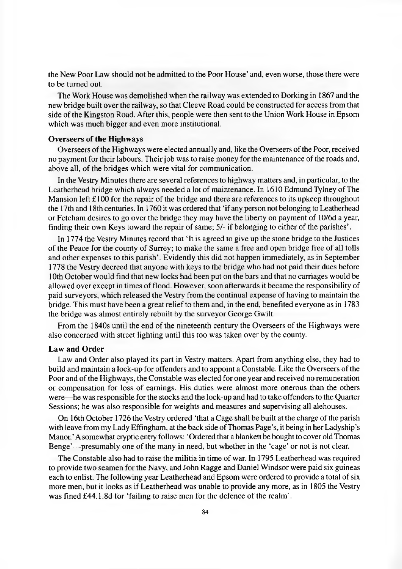the New Poor Law should not be admitted to the Poor House' and, even worse, those there were to be turned out.

The Work House was demolished when the railway was extended to Dorking in 1867 and the new bridge built over the railway, so that Cleeve Road could be constructed for access from that side of the Kingston Road. After this, people were then sent to the Union Work House in Epsom which was much bigger and even more institutional.

### **Overseers of the Highways**

Overseers of the Highways were elected annually and, like the Overseers of the Poor, received no payment for their labours. Their job was to raise money for the maintenance of the roads and, above all, of the bridges which were vital for communication.

In the Vestry Minutes there are several references to highway matters and, in particular, to the Leatherhead bridge which always needed a lot of maintenance. In 1610 Edmund Tylney of The Mansion left  $\pounds$ 100 for the repair of the bridge and there are references to its upkeep throughout the 17th and 18th centuries. In 1760 it was ordered that 'if any person not belonging to Leatherhead or Fetcham desires to go over the bridge they may have the liberty on payment of 10/6d a year, finding their own Keys toward the repair of same; 5/- if belonging to either of the parishes'.

In 1774 the Vestry Minutes record that 'It is agreed to give up the stone bridge to the Justices of the Peace for the county of Surrey; to make the same a free and open bridge free of all tolls and other expenses to this parish'. Evidently this did not happen immediately, as in September 1778 the Vestry decreed that anyone with keys to the bridge who had not paid their dues before 10th October would find that new locks had been put on the bars and that no carriages would be allowed over except in times of flood. However, soon afterwards it became the responsibility of paid surveyors, which released the Vestry from the continual expense of having to maintain the bridge. This must have been a great relief to them and, in the end, benefited everyone as in 1783 the bridge was almost entirely rebuilt by the surveyor George Gwilt.

From the 1840s until the end of the nineteenth century the Overseers of the Highways were also concerned with street lighting until this too was taken over by the county.

#### **Law and Order**

Law and Order also played its part in Vestry matters. Apart from anything else, they had to build and maintain a lock-up for offenders and to appoint a Constable. Like the Overseers of the Poor and of the Highways, the Constable was elected for one year and received no remuneration or compensation for loss of earnings. His duties were almost more onerous than the others were—he was responsible for the stocks and the lock-up and had to take offenders to the Quarter Sessions; he was also responsible for weights and measures and supervising all alehouses.

On 16th October 1726 the Vestry ordered 'that a Cage shall be built at the charge of the parish with leave from my Lady Effingham, at the back side of Thomas Page's, it being in her Ladyship's Manor.' A somewhat cryptic entry follows: 'Ordered that a blankett be bought to cover old Thomas Benge'— presumably one of the many in need, but whether in the 'cage' or not is not clear.

The Constable also had to raise the militia in time of war. In 1795 Leatherhead was required to provide two seamen for the Navy, and John Ragge and Daniel Windsor were paid six guineas each to enlist. The following year Leatherhead and Epsom were ordered to provide a total of six more men, but it looks as if Leatherhead was unable to provide any more, as in 1805 the Vestry was fined £44.1.8d for 'failing to raise men for the defence of the realm'.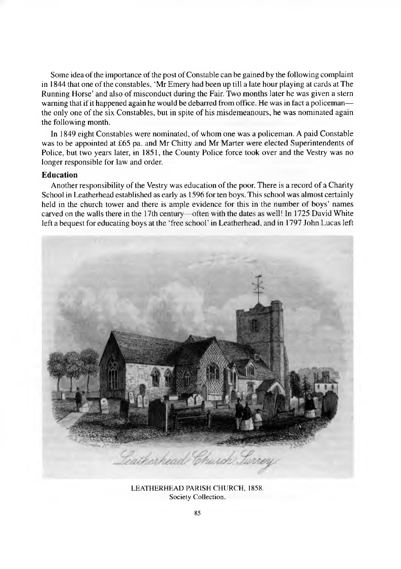Some idea of the importance of the post of Constable can be gained by the following complaint in 1844 that one of the constables, 'Mr Emery had been up till a late hour playing at cards at The Running Horse' and also of misconduct during the Fair. Two months later he was given a stern warning that if it happened again he would be debarred from office. He was in fact a policeman the only one of the six Constables, but in spite of his misdemeanours, he was nominated again the following month.

In 1849 eight Constables were nominated, of whom one was a policeman. A paid Constable was to be appointed at £65 pa. and Mr Chitty and Mr Marter were elected Superintendents of Police, but two years later, in 1851, the County Police force took over and the Vestry was no longer responsible for law and order.

### **Education**

Another responsibility of the Vestry was education of the poor. There is a record of a Charity School in Leatherhead established as early as 1596 for ten boys. This school was almost certainly held in the church tower and there is ample evidence for this in the number of boys' names carved on the walls there in the 17th century—often with the dates as well! In 1725 David White left a bequest for educating boys at the 'free school' in Leatherhead, and in 1797 John Lucas left



LEATHERHEAD PARISH CHURCH, 1858. Society Collection.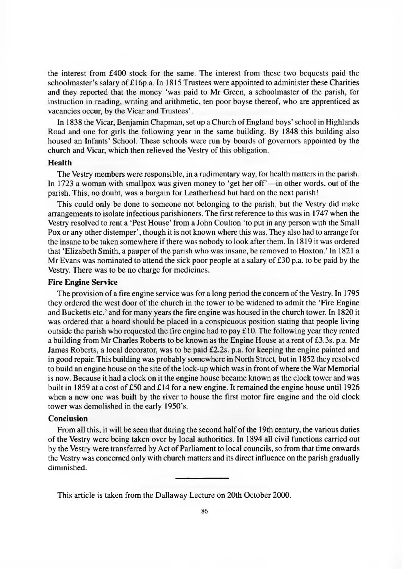the interest from £400 stock for the same. The interest from these two bequests paid the schoolmaster's salary of £16p.a. In 1815 Trustees were appointed to administer these Charities and they reported that the money 'was paid to Mr Green, a schoolmaster of the parish, for instruction in reading, writing and arithmetic, ten poor boyse thereof, who are apprenticed as vacancies occur, by the Vicar and Trustees'.

In 1838 the Vicar, Benjamin Chapman, set up a Church of England boys' school in Highlands Road and one for girls the following year in the same building. By 1848 this building also housed an Infants' School. These schools were run by boards of governors appointed by the church and Vicar, which then relieved the Vestry of this obligation.

### **Health**

The Vestry members were responsible, in a rudimentary way, for health matters in the parish. In 1723 a woman with smallpox was given money to 'get her off'— in other words, out of the parish. This, no doubt, was a bargain for Leatherhead but hard on the next parish!

This could only be done to someone not belonging to the parish, but the Vestry did make arrangements to isolate infectious parishioners. The first reference to this was in 1747 when the Vestry resolved to rent a 'Pest House' from a John Coulton 'to put in any person with the Small Pox or any other distemper', though it is not known where this was. They also had to arrange for the insane to be taken somewhere if there was nobody to look after them. In 1819 it was ordered that 'Elizabeth Smith, a pauper of the parish who was insane, be removed to Hoxton.' In 1821 a Mr Evans was nominated to attend the sick poor people at a salary of £30 p.a. to be paid by the Vestry. There was to be no charge for medicines.

### **Fire Engine Service**

The provision of a fire engine service was for a long period the concern of the Vestry. In 1795 they ordered the west door of the church in the tower to be widened to admit the 'Fire Engine and Bucketts etc.' and for many years the fire engine was housed in the church tower. In 1820 it was ordered that a board should be placed in a conspicuous position stating that people living outside the parish who requested the fire engine had to pay £10. The following year they rented a building from Mr Charles Roberts to be known as the Engine House at a rent of £3.3s. p.a. Mr James Roberts, a local decorator, was to be paid £2.2s. p.a. for keeping the engine painted and in good repair. This building was probably somewhere in North Street, but in 1852 they resolved to build an engine house on the site of the lock-up which was in front of where the War Memorial is now. Because it had a clock on it the engine house became known as the clock tower and was built in 1859 at a cost of £50 and £14 for a new engine. It remained the engine house until 1926 when a new one was built by the river to house the first motor fire engine and the old clock tower was demolished in the early 1950's.

### **Conclusion**

From all this, it will be seen that during the second half of the 19th century, the various duties of the Vestry were being taken over by local authorities. In 1894 all civil functions carried out by the Vestry were transferred by Act of Parliament to local councils, so from that time onwards the Vestry was concerned only with church matters and its direct influence on the parish gradually diminished.

This article is taken from the Dallaway Lecture on 20th October 2000.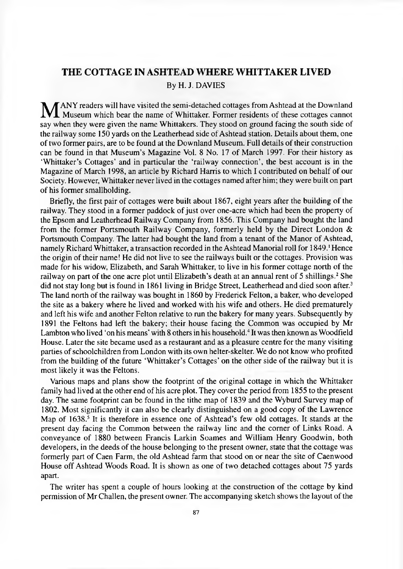## <span id="page-12-0"></span>**THE COTTAGE IN ASHTEAD WHERE WHITTAKER LIVED** By H. J. DAVIES

**M** ANY readers will have visited the semi-detached cottages from Ashtead at the Downland<br>Museum which bear the name of Whittaker. Former residents of these cottages cannot Museum which bear the name of Whittaker. Former residents of these cottages cannot say when they were given the name Whittakers. They stood on ground facing the south side of the railway some 150 yards on the Leatherhead side of Ashtead station. Details about them, one of two former pairs, are to be found at the Downland Museum. Full details of their construction can be found in that Museum's Magazine Vol. 8 No. 17 of March 1997. For their history as 'Whittaker's Cottages' and in particular the 'railway connection', the best account is in the Magazine of March 1998, an article by Richard Harris to which I contributed on behalf of our Society. However, Whittaker never lived in the cottages named after him; they were built on part of his former smallholding.

Briefly, the first pair of cottages were built about 1867, eight years after the building of the railway. They stood in a former paddock of just over one-acre which had been the property of the Epsom and Leatherhead Railway Company from 1856. This Company had bought the land from the former Portsmouth Railway Company, formerly held by the Direct London & Portsmouth Company. The latter had bought the land from a tenant of the Manor of Ashtead, namely Richard Whittaker, a transaction recorded in the Ashtead Manorial roll for 1849.<sup>1</sup> Hence the origin of their name! He did not live to see the railways built or the cottages. Provision was made for his widow, Elizabeth, and Sarah Whittaker, to live in his former cottage north of the railway on part of the one acre plot until Elizabeth's death at an annual rent of 5 shillings.<sup>2</sup> She did not stay long but is found in 1861 living in Bridge Street, Leatherhead and died soon after.<sup>3</sup> The land north of the railway was bought in 1860 by Frederick Felton, a baker, who developed the site as a bakery where he lived and worked with his wife and others. He died prematurely and left his wife and another Felton relative to run the bakery for many years. Subsequently by 1891 the Feltons had left the bakery; their house facing the Common was occupied by Mr Lambton who lived 'on his means' with 8 others in his household.<sup>4</sup> It was then known as Woodfield House. Later the site became used as a restaurant and as a pleasure centre for the many visiting parties of schoolchildren from London with its own helter-skelter. We do not know who profited from the building of the future 'Whittaker's Cottages' on the other side of the railway but it is most likely it was the Feltons.

Various maps and plans show the footprint of the original cottage in which the Whittaker family had lived at the other end of his acre plot. They cover the period from 1855 to the present day. The same footprint can be found in the tithe map of 1839 and the Wyburd Survey map of 1802. Most significantly it can also be clearly distinguished on a good copy of the Lawrence Map of 1638.<sup>5</sup> It is therefore in essence one of Ashtead's few old cottages. It stands at the present day facing the Common between the railway line and the corner of Links Road. A conveyance of 1880 between Francis Larkin Soames and William Henry Goodwin, both developers, in the deeds of the house belonging to the present owner, state that the cottage was formerly part of Caen Farm, the old Ashtead farm that stood on or near the site of Caenwood House off Ashtead Woods Road. It is shown as one of two detached cottages about 75 yards apart.

The writer has spent a couple of hours looking at the construction of the cottage by kind permission of Mr Challen, the present owner. The accompanying sketch shows the layout of the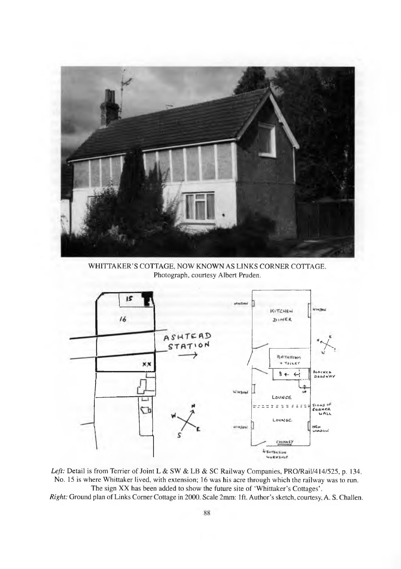

WHITTAKER'S COTTAGE, NOW KNOWN AS LINKS CORNER COTTAGE. Photograph, courtesy Albert Pruden.



Left: Detail is from Terrier of Joint L & SW & LB & SC Railway Companies, PRO/Rail/414/525, p. 134. No. 15 is where Whittaker lived, with extension; 16 was his acre through which the railway was to run. The sign XX has been added to show the future site of 'Whittaker's Cottages'. *Right:* Ground plan of Links Comer Cottage in 2000. Scale 2mm: 1ft. Author's sketch, courtesy, A. S. Challen.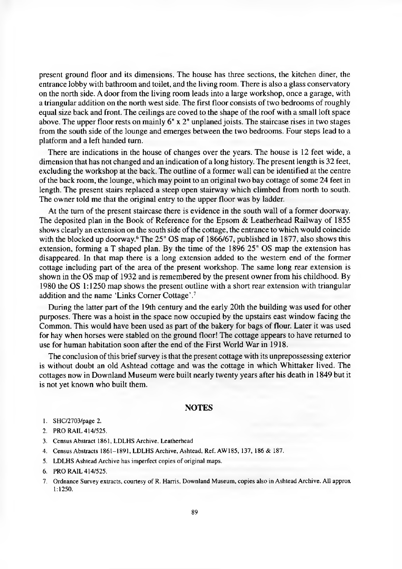present ground floor and its dimensions. The house has three sections, the kitchen diner, the entrance lobby with bathroom and toilet, and the living room. There is also a glass conservatory on the north side. A door from the living room leads into a large workshop, once a garage, with a triangular addition on the north west side. The first floor consists of two bedrooms of roughly equal size back and front. The ceilings are coved to the shape of the roof with a small loft space above. The upper floor rests on mainly  $6" \times 2"$  unplaned joists. The staircase rises in two stages from the south side of the lounge and emerges between the two bedrooms. Four steps lead to a platform and a left handed turn.

There are indications in the house of changes over the years. The house is 12 feet wide, a dimension that has not changed and an indication of a long history. The present length is 32 feet, excluding the workshop at the back. The outline of a former wall can be identified at the centre of the back room, the lounge, which may point to an original two bay cottage of some 24 feet in length. The present stairs replaced a steep open stairway which climbed from north to south. The owner told me that the original entry to the upper floor was by ladder.

At the turn of the present staircase there is evidence in the south wall of a former doorway. The deposited plan in the Book of Reference for the Epsom & Leatherhead Railway of 1855 shows clearly an extension on the south side of the cottage, the entrance to which would coincide with the blocked up doorway.<sup>6</sup> The 25" OS map of 1866/67, published in 1877, also shows this extension, forming a T shaped plan. By the time of the 1896 25" OS map the extension has disappeared. In that map there is a long extension added to the western end of the former cottage including part of the area of the present workshop. The same long rear extension is shown in the OS map of 1932 and is remembered by the present owner from his childhood. By 1980 the OS 1:1250 map shows the present outline with a short rear extension with triangular addition and the name 'Links Comer Cottage'.7

During the latter part of the 19th century and the early 20th the building was used for other purposes. There was a hoist in the space now occupied by the upstairs east window facing the Common. This would have been used as part of the bakery for bags of flour. Later it was used for hay when horses were stabled on the ground floor! The cottage appears to have returned to use for human habitation soon after the end of the First World War in 1918.

The conclusion of this brief survey is that the present cottage with its unprepossessing exterior is without doubt an old Ashtead cottage and was the cottage in which Whittaker lived. The cottages now in Downland Museum were built nearly twenty years after his death in 1849 but it is not yet known who built them.

#### **NOTES**

- 1. SHC/2703/page 2.
- 2. PRO RAIL 414/525.
- 3. Census Abstract 1861, LDLHS Archive, Leatherhead
- 4. Census Abstracts 1861-1891, LDLHS Archive, Ashtead, Ref. AW185, 137, 186 & 187.
- 5. LDLHS Ashtead Archive has imperfect copies of original maps.
- 6. PRO RAIL 414/525.
- 7. Ordnance Survey extracts, courtesy of R. Harris, Downland Museum, copies also in Ashtead Archive. All approx 1:1250.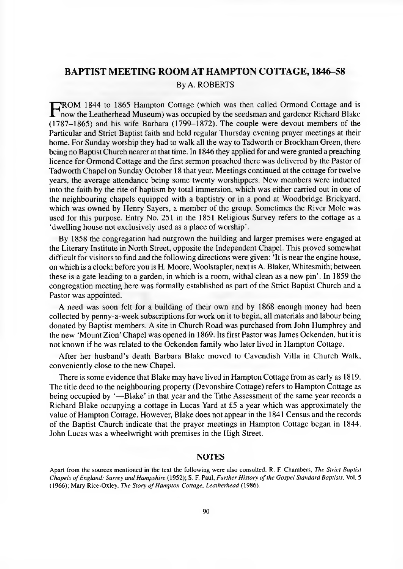### <span id="page-15-0"></span>**BAPTIST MEETING ROOM AT HAMPTON COTTAGE, 1846-58** By A. ROBERTS

**FROM 1844 to 1865 Hampton Cottage (which was then called Ormond Cottage and is<br>now the Leatherhead Museum) was occupied by the seedsman and gardener Richard Blake** 'ROM 1844 to 1865 Hampton Cottage (which was then called Ormond Cottage and is (1787-1865) and his wife Barbara (1799-1872). The couple were devout members of the Particular and Strict Baptist faith and held regular Thursday evening prayer meetings at their home. For Sunday worship they had to walk all the way to Tadworth or Brockham Green, there being no Baptist Church nearer at that time. In 1846 they applied for and were granted a preaching licence for Ormond Cottage and the first sermon preached there was delivered by the Pastor of Tadworth Chapel on Sunday October 18 that year. Meetings continued at the cottage for twelve years, the average attendance being some twenty worshippers. New members were inducted into the faith by the rite of baptism by total immersion, which was either carried out in one of the neighbouring chapels equipped with a baptistry or in a pond at Woodbridge Brickyard, which was owned by Henry Sayers, a member of the group. Sometimes the River Mole was used for this purpose. Entry No. 251 in the 1851 Religious Survey refers to the cottage as a 'dwelling house not exclusively used as a place of worship'.

By 1858 the congregation had outgrown the building and larger premises were engaged at the Literary Institute in North Street, opposite the Independent Chapel. This proved somewhat difficult for visitors to find and the following directions were given: 'It is near the engine house, on which is a clock; before you is H. Moore, Woolstapler, next is A. Blaker, Whitesmith; between these is a gate leading to a garden, in which is a room, withal clean as a new pin'. In 1859 the congregation meeting here was formally established as part of the Strict Baptist Church and a Pastor was appointed.

A need was soon felt for a building of their own and by 1868 enough money had been collected by penny-a-week subscriptions for work on it to begin, all materials and labour being donated by Baptist members. A site in Church Road was purchased from John Humphrey and the new 'Mount Zion' Chapel was opened in 1869. Its first Pastor was James Ockenden, but it is not known if he was related to the Ockenden family who later lived in Hampton Cottage.

After her husband's death Barbara Blake moved to Cavendish Villa in Church Walk, conveniently close to the new Chapel.

There is some evidence that Blake may have lived in Hampton Cottage from as early as 1819. The title deed to the neighbouring property (Devonshire Cottage) refers to Hampton Cottage as being occupied by '— Blake' in that year and the Tithe Assessment of the same year records a Richard Blake occupying a cottage in Lucas Yard at £5 a year which was approximately the value of Hampton Cottage. However, Blake does not appear in the 1841 Census and the records of the Baptist Church indicate that the prayer meetings in Hampton Cottage began in 1844. John Lucas was a wheelwright with premises in the High Street.

#### **NOTES**

Apart from the sources mentioned in the text the following were also consulted: R. F. Chambers, *The Strict Baptist Chapels of England: Surrey and Hampshire* (1952); S. F. Paul, *Further History of the Gospel Standard Baptists,* Vol. 5 (1966); Mary Rice-Oxley, *The Story of Hampton Cottage, Leatherhead* (1986).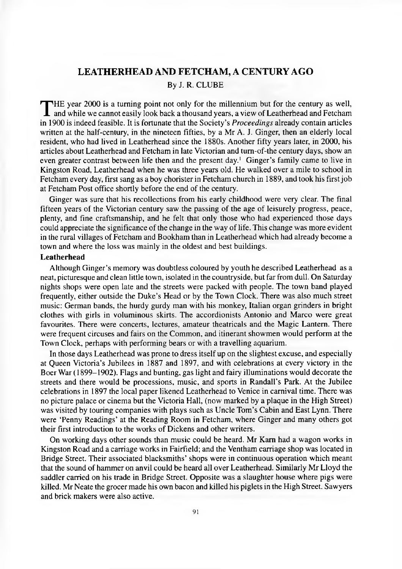### <span id="page-16-0"></span>**LEATHERHEAD AND FETCHAM, A CENTURY AGO**

By J. R. CLUBE

THE year 2000 is a turning point not only for the millennium but for the century as well,<br>and while we cannot easily look back a thousand years, a view of Leatherhead and Fetcham<br>in 1900 is indeed feasible. It is fortunate and while we cannot easily look back a thousand years, a view of Leatherhead and Fetcham in 1900 is indeed feasible. It is fortunate that the Society's *Proceedings* already contain articles written at the half-century, in the nineteen fifties, by a Mr A. J. Ginger, then an elderly local resident, who had lived in Leatherhead since the 1880s. Another fifty years later, in 2000, his articles about Leatherhead and Fetcham in late Victorian and tum-of-the century days, show an even greater contrast between life then and the present day.<sup>1</sup> Ginger's family came to live in Kingston Road, Leatherhead when he was three years old. He walked over a mile to school in Fetcham every day, first sang as a boy chorister in Fetcham church in 1889, and took his first job at Fetcham Post office shortly before the end of the century.

Ginger was sure that his recollections from his early childhood were very clear. The final fifteen years of the Victorian century saw the passing of the age of leisurely progress, peace, plenty, and fine craftsmanship, and he felt that only those who had experienced those days could appreciate the significance of the change in the way of life. This change was more evident in the rural villages of Fetcham and Bookham than in Leatherhead which had already become a town and where the loss was mainly in the oldest and best buildings.

#### **Leatherhead**

Although Ginger's memory was doubtless coloured by youth he described Leatherhead as a neat, picturesque and clean little town, isolated in the countryside, but far from dull. On Saturday nights shops were open late and the streets were packed with people. The town band played frequently, either outside the Duke's Head or by the Town Clock. There was also much street music: German bands, the hurdy gurdy man with his monkey, Italian organ grinders in bright clothes with girls in voluminous skirts. The accordionists Antonio and Marco were great favourites. There were concerts, lectures, amateur theatricals and the Magic Lantern. There were frequent circuses and fairs on the Common, and itinerant showmen would perform at the Town Clock, perhaps with performing bears or with a travelling aquarium.

In those days Leatherhead was prone to dress itself up on the slightest excuse, and especially at Queen Victoria's Jubilees in 1887 and 1897, and with celebrations at every victory in the Boer War (1899-1902). Flags and bunting, gas light and fairy illuminations would decorate the streets and there would be processions, music, and sports in Randall's Park. At the Jubilee celebrations in 1897 the local paper likened Leatherhead to Venice in carnival time. There was no picture palace or cinema but the Victoria Hall, (now marked by a plaque in the High Street) was visited by touring companies with plays such as Uncle Tom's Cabin and East Lynn. There were 'Penny Readings' at the Reading Room in Fetcham, where Ginger and many others got their first introduction to the works of Dickens and other writers.

On working days other sounds than music could be heard. Mr Kam had a wagon works in Kingston Road and a carriage works in Fairfield; and the Ventham carriage shop was located in Bridge Street. Their associated blacksmiths' shops were in continuous operation which meant that the sound of hammer on anvil could be heard all over Leatherhead. Similarly Mr Lloyd the saddler carried on his trade in Bridge Street. Opposite was a slaughter house where pigs were killed. Mr Neate the grocer made his own bacon and killed his piglets in the High Street. Sawyers and brick makers were also active.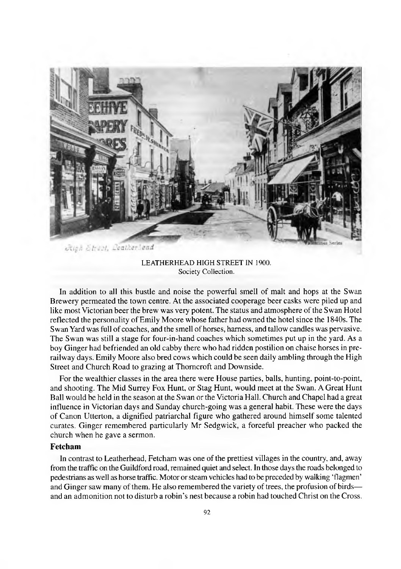

LEATHERHEAD HIGH STREET IN 1900. Society Collection.

In addition to all this bustle and noise the powerful smell of malt and hops at the Swan Brewery permeated the town centre. At the associated cooperage beer casks were piled up and like most Victorian beer the brew was very potent. The status and atmosphere of the Swan Hotel reflected the personality of Emily Moore whose father had owned the hotel since the 1840s. The Swan Yard was full of coaches, and the smell of horses, harness, and tallow candles was pervasive. The Swan was still a stage for four-in-hand coaches which sometimes put up in the yard. As a boy Ginger had befriended an old cabby there who had ridden postilion on chaise horses in prerailway days. Emily Moore also bred cows which could be seen daily ambling through the High Street and Church Road to grazing at Thomcroft and Downside.

For the wealthier classes in the area there were House parties, balls, hunting, point-to-point, and shooting. The Mid Surrey Fox Hunt, or Stag Hunt, would meet at the Swan. A Great Hunt Ball would be held in the season at the Swan or the Victoria Hall. Church and Chapel had a great influence in Victorian days and Sunday church-going was a general habit. These were the days of Canon Utterton, a dignified patriarchal figure who gathered around himself some talented curates. Ginger remembered particularly Mr Sedgwick, a forceful preacher who packed the church when he gave a sermon.

### **Fetcham**

In contrast to Leatherhead, Fetcham was one of the prettiest villages in the country, and, away from the traffic on the Guildford road, remained quiet and select. In those days the roads belonged to pedestrians as well as horse traffic. Motor or steam vehicles had to be preceded by walking 'flagmen' and Ginger saw many of them. He also remembered the variety of trees, the profusion of birds and an admonition not to disturb a robin's nest because a robin had touched Christ on the Cross.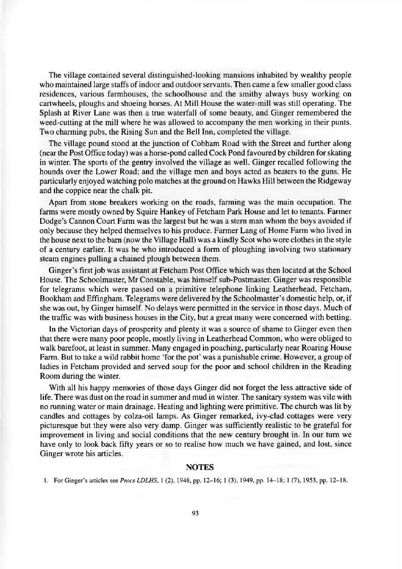The village contained several distinguished-looking mansions inhabited by wealthy people who maintained large staffs of indoor and outdoor servants. Then came a few smaller good class residences, various farmhouses, the schoolhouse and the smithy always busy working on cartwheels, ploughs and shoeing horses. At Mill House the water-mill was still operating. The Splash at River Lane was then a true waterfall of some beauty, and Ginger remembered the weed-cutting at the mill where he was allowed to accompany the men working in their punts. Two charming pubs, the Rising Sun and the Bell Inn, completed the village.

The village pound stood at the junction of Cobham Road with the Street and further along (near the Post Office today) was a horse-pond called Cock Pond favoured by children for skating in winter. The sports of the gentry involved the village as well. Ginger recalled following the hounds over the Lower Road; and the village men and boys acted as beaters to the guns. He particularly enjoyed watching polo matches at the ground on Hawks Hill between the Ridgeway and the coppice near the chalk pit.

Apart from stone breakers working on the roads, farming was the main occupation. The farms were mostly owned by Squire Hankey of Fetcham Park House and let to tenants. Farmer Dodge's Cannon Court Farm was the largest but he was a stern man whom the boys avoided if only because they helped themselves to his produce. Farmer Lang of Home Farm who lived in the house next to the barn (now the Village Hall) was a kindly Scot who wore clothes in the style of a century earlier. It was he who introduced a form of ploughing involving two stationary steam engines pulling a chained plough between them.

Ginger's first job was assistant at Fetcham Post Office which was then located at the School House. The Schoolmaster, Mr Constable, was himself sub-Postmaster. Ginger was responsible for telegrams which were passed on a primitive telephone linking Leatherhead, Fetcham, Bookham and Effingham. Telegrams were delivered by the Schoolmaster's domestic help, or, if she was out, by Ginger himself. No delays were permitted in the service in those days. Much of the traffic was with business houses in the City, but a great many were concerned with betting.

In the Victorian days of prosperity and plenty it was a source of shame to Ginger even then that there were many poor people, mostly living in Leatherhead Common, who were obliged to walk barefoot, at least in summer. Many engaged in poaching, particularly near Roaring House Farm. But to take a wild rabbit home 'for the pot' was a punishable crime. However, a group of ladies in Fetcham provided and served soup for the poor and school children in the Reading Room during the winter.

With all his happy memories of those days Ginger did not forget the less attractive side of life. There was dust on the road in summer and mud in winter. The sanitary system was vile with no running water or main drainage. Heating and lighting were primitive. The church was lit by candles and cottages by colza-oil lamps. As Ginger remarked, ivy-clad cottages were very picturesque but they were also very damp. Ginger was sufficiently realistic to be grateful for improvement in living and social conditions that the new century brought in. In our turn we have only to look back fifty years or so to realise how much we have gained, and lost, since Ginger wrote his articles.

#### **NOTES**

1. For Ginger's articles see *Procs LDLHS,* 1 (2), 1948, pp. 12-16; 1 (3), 1949, pp. 14-18; 1 (7), 1953, pp. 12-18.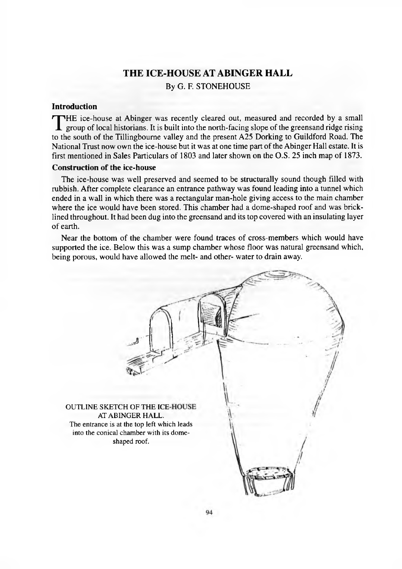### <span id="page-19-0"></span>**THE ICE-HOUSE AT ABINGER HALL** By G. F. STONEHOUSE

### **Introduction**

THE ice-house at Abinger was recently cleared out, measured and recorded by a small<br>group of local historians. It is built into the north-facing slope of the greensand ridge rising<br>to the south of the Tillinghourne valley group of local historians. It is built into the north-facing slope of the greensand ridge rising to the south of the Tillingboume valley and the present A25 Dorking to Guildford Road. The National Trust now own the ice-house but it was at one time part of the Abinger Hall estate. It is first mentioned in Sales Particulars of 1803 and later shown on the O.S. 25 inch map of 1873.

### **Construction of the ice-house**

The ice-house was well preserved and seemed to be structurally sound though filled with rubbish. After complete clearance an entrance pathway was found leading into a tunnel which ended in a wall in which there was a rectangular man-hole giving access to the main chamber where the ice would have been stored. This chamber had a dome-shaped roof and was bricklined throughout. It had been dug into the greensand and its top covered with an insulating layer of earth.

Near the bottom of the chamber were found traces of cross-members which would have supported the ice. Below this was a sump chamber whose floor was natural greensand which, being porous, would have allowed the melt- and other- water to drain away.

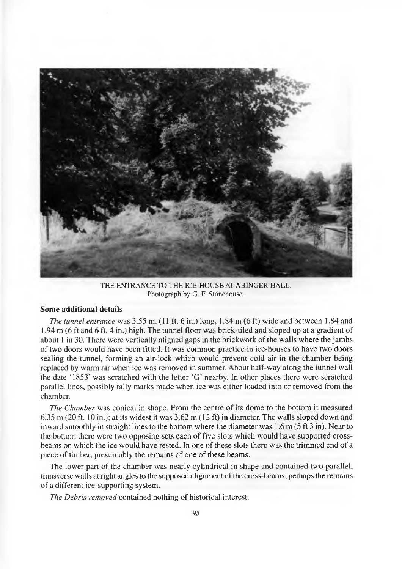

THE ENTRANCE TO THE ICE-HOUSE AT ABINGER HALL. Photograph by G. F. Stonehouse.

### **Some additional details**

*The tunnel entrance* was 3.55 m. (11 ft. 6 in.) long, 1.84 m (6 ft) wide and between 1.84 and 1.94 m (6 ft and 6 ft. 4 in.) high. The tunnel floor was brick-tiled and sloped up at a gradient of about 1 in 30. There were vertically aligned gaps in the brickwork of the walls where the jambs of two doors would have been fitted. It was common practice in ice-houses to have two doors sealing the tunnel, forming an air-lock which would prevent cold air in the chamber being replaced by warm air when ice was removed in summer. About half-way along the tunnel wall the date '1853' was scratched with the letter 'G ' nearby. In other places there were scratched parallel lines, possibly tally marks made when ice was either loaded into or removed from the chamber.

*The Chamber* was conical in shape. From the centre of its dome to the bottom it measured 6.35 m (20 ft. 10 in.); at its widest it was 3.62 m (12 ft) in diameter. The walls sloped down and inward smoothly in straight lines to the bottom where the diameter was 1.6 m (5 ft 3 in). Near to the bottom there were two opposing sets each of five slots which would have supported crossbeams on which the ice would have rested. In one of these slots there was the trimmed end of a piece of timber, presumably the remains of one of these beams.

The lower part of the chamber was nearly cylindrical in shape and contained two parallel, transverse walls at right angles to the supposed alignment of the cross-beams; perhaps the remains of a different ice-supporting system.

*The Debris removed* contained nothing of historical interest.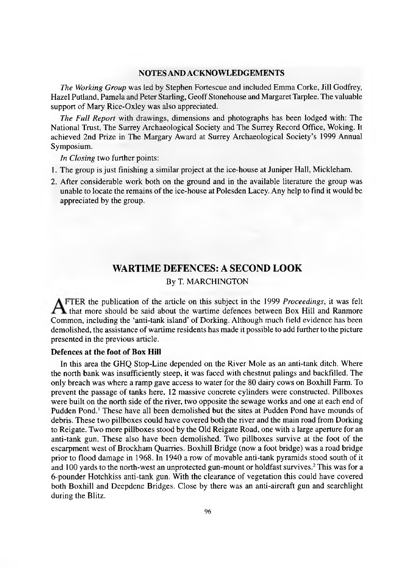### **NOTES AND ACKNOWLEDGEMENTS**

*The Working Group* was led by Stephen Fortescue and included Emma Corke, Jill Godfrey, Hazel Putland, Pamela and Peter Starling, Geoff Stonehouse and Margaret Tarplee. The valuable support of Mary Rice-Oxley was also appreciated.

*The Full Report* with drawings, dimensions and photographs has been lodged with: The National Trust, The Surrey Archaeological Society and The Surrey Record Office, Woking. It achieved 2nd Prize in The Margary Award at Surrey Archaeological Society's 1999 Annual Symposium.

*In Closing* two further points:

- 1. The group is just finishing a similar project at the ice-house at Juniper Hall, Mickleham.
- 2. After considerable work both on the ground and in the available literature the group was unable to locate the remains of the ice-house at Polesden Lacey. Any help to find it would be appreciated by the group.

### **WARTIME DEFENCES: A SECOND LOOK**

#### By T. MARCHINGTON

"TER the publication of the article on this subject in the 1999 *Proceedings,* it was felt that more should be said about the wartime defences between Box Hill and Ranmore Common, including the 'anti-tank island' of Dorking. Although much field evidence has been demolished, the assistance of wartime residents has made it possible to add further to the picture presented in the previous article.

### **Defences at the foot of Box Hill**

In this area the GHQ Stop-Line depended on the River Mole as an anti-tank ditch. Where the north bank was insufficiently steep, it was faced with chestnut palings and backfilled. The only breach was where a ramp gave access to water for the 80 dairy cows on Boxhill Farm. To prevent the passage of tanks here, 12 massive concrete cylinders were constructed. Pillboxes were built on the north side of the river, two opposite the sewage works and one at each end of Pudden Pond.1 These have all been demolished but the sites at Pudden Pond have mounds of debris. These two pillboxes could have covered both the river and the main road from Dorking to Reigate. Two more pillboxes stood by the Old Reigate Road, one with a large aperture for an anti-tank gun. These also have been demolished. Two pillboxes survive at the foot of the escarpment west of Brockham Quarries. Boxhill Bridge (now a foot bridge) was a road bridge prior to flood damage in 1968. In 1940 a row of movable anti-tank pyramids stood south of it and 100 yards to the north-west an unprotected gun-mount or holdfast survives.2 This was for a 6-pounder Hotchkiss anti-tank gun. With the clearance of vegetation this could have covered both Boxhill and Deepdene Bridges. Close by there was an anti-aircraft gun and searchlight during the Blitz.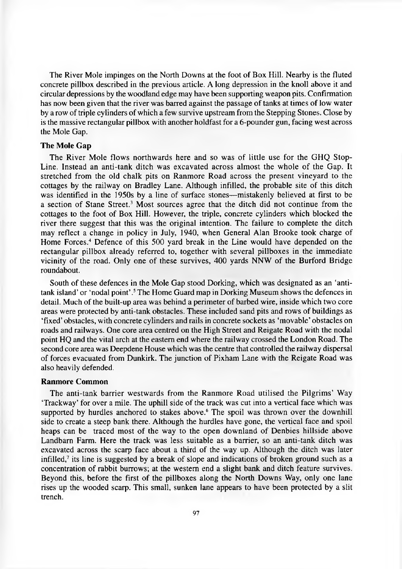The River Mole impinges on the North Downs at the foot of Box Hill. Nearby is the fluted concrete pillbox described in the previous article. A long depression in the knoll above it and circular depressions by the woodland edge may have been supporting weapon pits. Confirmation has now been given that the river was barred against the passage of tanks at times of low water by a row of triple cylinders of which a few survive upstream from the Stepping Stones. Close by is the massive rectangular pillbox with another holdfast for a 6-pounder gun, facing west across the Mole Gap.

### **The Mole Gap**

The River Mole flows northwards here and so was of little use for the GHQ Stop-Line. Instead an anti-tank ditch was excavated across almost the whole of the Gap. It stretched from the old chalk pits on Ranmore Road across the present vineyard to the cottages by the railway on Bradley Lane. Although infilled, the probable site of this ditch was identified in the 1950s by a line of surface stones— mistakenly believed at first to be a section of Stane Street.3 Most sources agree that the ditch did not continue from the cottages to the foot of Box Hill. However, the triple, concrete cylinders which blocked the river there suggest that this was the original intention. The failure to complete the ditch may reflect a change in policy in July, 1940, when General Alan Brooke took charge of Home Forces.4 Defence of this 500 yard break in the Line would have depended on the rectangular pillbox already referred to, together with several pillboxes in the immediate vicinity of the road. Only one of these survives, 400 yards NNW of the Burford Bridge roundabout.

South of these defences in the Mole Gap stood Dorking, which was designated as an 'antitank island' or 'nodal point' .5 The Home Guard map in Dorking Museum shows the defences in detail. Much of the built-up area was behind a perimeter of barbed wire, inside which two core areas were protected by anti-tank obstacles. These included sand pits and rows of buildings as 'fixed' obstacles, with concrete cylinders and rails in concrete sockets as 'movable' obstacles on roads and railways. One core area centred on the High Street and Reigate Road with the nodal point HQ and the vital arch at the eastern end where the railway crossed the London Road. The second core area was Deepdene House which was the centre that controlled the railway dispersal of forces evacuated from Dunkirk. The junction of Pixham Lane with the Reigate Road was also heavily defended.

#### **Ranmore Common**

The anti-tank barrier westwards from the Ranmore Road utilised the Pilgrims' Way 'Trackway' for over a mile. The uphill side of the track was cut into a vertical face which was supported by hurdles anchored to stakes above.<sup>6</sup> The spoil was thrown over the downhill side to create a steep bank there. Although the hurdles have gone, the vertical face and spoil heaps can be traced most of the way to the open downland of Denbies hillside above Landbarn Farm. Here the track was less suitable as a barrier, so an anti-tank ditch was excavated across the scarp face about a third of the way up. Although the ditch was later infilled, $7$  its line is suggested by a break of slope and indications of broken ground such as a concentration of rabbit burrows; at the western end a slight bank and ditch feature survives. Beyond this, before the first of the pillboxes along the North Downs Way, only one lane rises up the wooded scarp. This small, sunken lane appears to have been protected by a slit trench.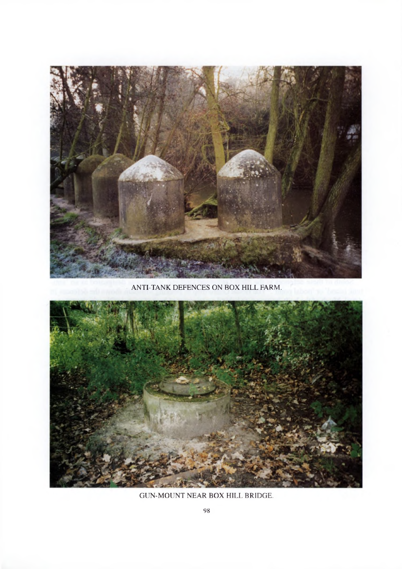

ANTI-TANK DEFENCES ON BOX HILL FARM.



# GUN-MOUNT NEAR BOX HILL BRIDGE.

98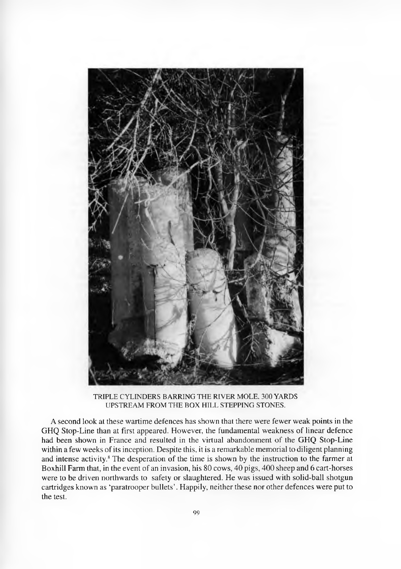

TRIPLE CYLINDERS BARRING THE RIVER MOLE, 300 YARDS UPSTREAM FROM THE BOX HILL STEPPING STONES.

A second look at these wartime defences has shown that there were fewer weak points in the GHQ Stop-Line than at first appeared. However, the fundamental weakness of linear defence had been shown in France and resulted in the virtual abandonment of the GHQ Stop-Line within a few weeks of its inception. Despite this, it is a remarkable memorial to diligent planning and intense activity.8 The desperation of the time is shown by the instruction to the farmer at Boxhill Farm that, in the event of an invasion, his 80 cows, 40 pigs, 400 sheep and 6 cart-horses were to be driven northwards to safety or slaughtered. He was issued with solid-ball shotgun cartridges known as 'paratrooper bullets'. Happily, neither these nor other defences were put to the test.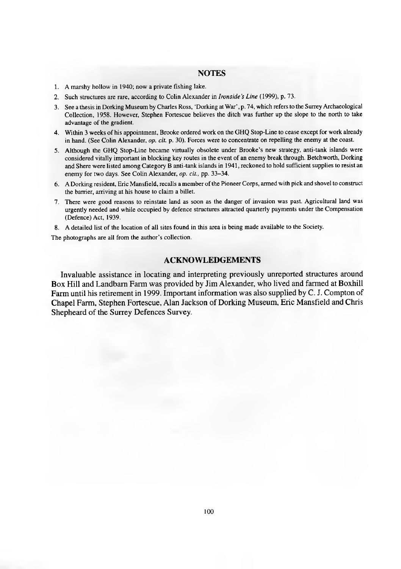#### **NOTES**

- 1. A marshy hollow in 1940; now a private fishing lake.
- 2. Such structures are rare, according to Colin Alexander in *Ironside's Line* (1999), p. 73.
- 3. See a thesis in Dorking Museum by Charles Ross, 'Dorking at War', p. 74, which refers to the Surrey Archaeological Collection, 1958. However, Stephen Fortescue believes the ditch was further up the slope to the north to take advantage of the gradient.
- 4. Within 3 weeks of his appointment, Brooke ordered work on the GHQ Stop-Line to cease except for work already in hand. (See Colin Alexander, *op. cit.* p. 30). Forces were to concentrate on repelling the enemy at the coast.
- 5. Although the GHQ Stop-Line became virtually obsolete under Brooke's new strategy, anti-tank islands were considered vitally important in blocking key routes in the event of an enemy break through. Betchworth, Dorking and Shere were listed among Category B anti-tank islands in 1941, reckoned to hold sufficient supplies to resist an enemy for two days. See Colin Alexander, *op. cit.,* pp. 33-34.
- 6. A Dorking resident, Eric Mansfield, recalls a member of the Pioneer Corps, armed with pick and shovel to construct the barrier, arriving at his house to claim a billet.
- 7. There were good reasons to reinstate land as soon as the danger of invasion was past. Agricultural land was urgently needed and while occupied by defence structures attracted quarterly payments under the Compensation (Defence) Act, 1939.
- 8. A detailed list of the location of all sites found in this area is being made available to the Society.

The photographs are all from the author's collection.

### **ACKNOWLEDGEMENTS**

Invaluable assistance in locating and interpreting previously unreported structures around Box Hill and Landbam Farm was provided by Jim Alexander, who lived and fanned at Boxhill Farm until his retirement in 1999. Important information was also supplied by C. J. Compton of Chapel Farm, Stephen Fortescue, Alan Jackson of Dorking Museum, Eric Mansfield and Chris Shepheard of the Surrey Defences Survey.